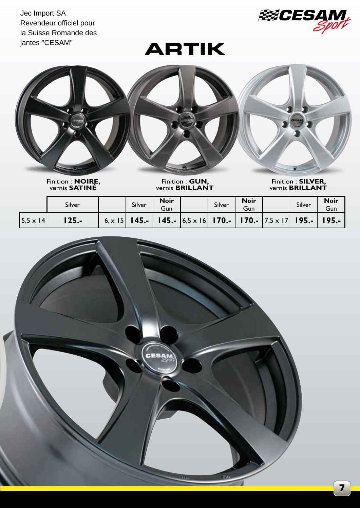Jec Import SA Revendeur officiel pour la Suisse Romande des jantes "CESAM"







Finition : **NOIRE**, vernis **SATINÉ**

Finition : **GUN,**  vernis **BRILLANT**

Finition : **SILVER,**  vernis **BRILLANT**

|                   | Silver |                | Silver   | <b>Noir</b><br>Gun | Silver | <b>Noir</b><br>Gun |                                                                                                    | Silver | <b>Noir</b><br>Gun |
|-------------------|--------|----------------|----------|--------------------|--------|--------------------|----------------------------------------------------------------------------------------------------|--------|--------------------|
| $ 5,5 \times 14 $ | 125.-  | 6, $\times$ 15 | $145. -$ |                    |        |                    | <b>145.-</b> $\begin{bmatrix} 6.5 \times 16 \end{bmatrix}$ <b>170.- 70.-</b> 7.5 x 17 <b>195.-</b> |        | $195. -$           |

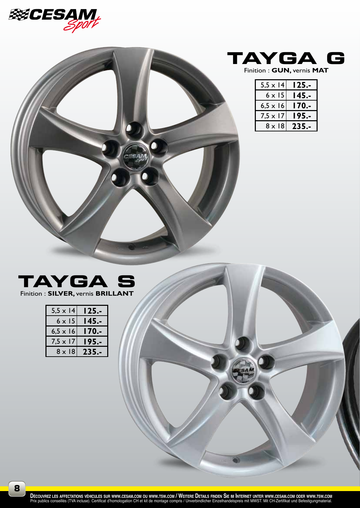





| $5,5 \times 14$ | l 25.- |
|-----------------|--------|
| $6 \times 15$   | 145.   |
| $6,5 \times 16$ | l 70.- |
| $7,5 \times 17$ | 195.   |
| 8 x 18          | 235.-  |



Finition : **SILVER,** vernis **BRILLANT**

| $5.5 \times 14$ | 125.- |
|-----------------|-------|
| $6 \times 15$   | 145.- |
| $6,5 \times 16$ | -.170 |
| $7,5 \times 17$ | 195.- |
| $8 \times 18$   | 235.- |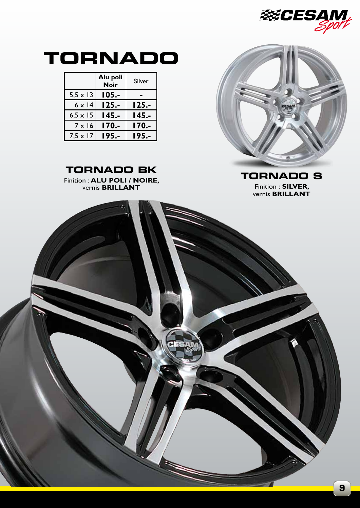



Finition : **SILVER,**  vernis **BRILLANT**

**9**

## **TORNADO**

|                 | Alu poli<br><b>Noir</b> | Silver |
|-----------------|-------------------------|--------|
| $5,5 \times 13$ | 105.-                   |        |
| $6 \times 14$   | 125.-                   | 125.-  |
| $6,5 \times 15$ | l 45.-                  | I 45.- |
| $7 \times 16$   | 170.-                   | l 70.- |
| $7,5 \times 17$ | 195.-                   | 195.-  |



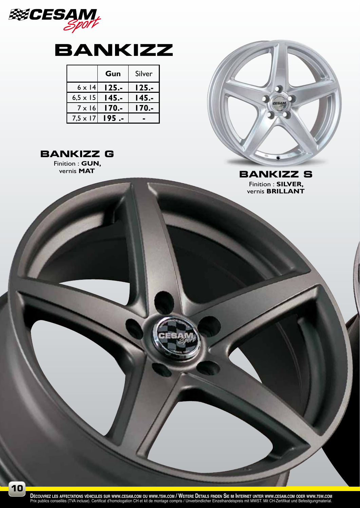

## **BANKIZZ**

|                 | Gun      | Silver |
|-----------------|----------|--------|
| $6 \times 14$   | $125. -$ | 125.-  |
| $6,5 \times 15$ | 145.-    | 145.-  |
| $7 \times 16$   | 170.-    | l 70.- |
| $7,5 \times 17$ | 195      |        |



Finition : **GUN,**<br>vernis **MAT** 



Finition : **SILVER,**  vernis **BRILLANT BANKIZZ S** 

DÉCOUVREZ LES AFFECTATIONS VÉHICULES SUR WWW.CESAM.COM OU WWW.TSW.COM / WEITERE DETAILS FINDEN SIE IM INTERNET UNTER WWW.CESAM.COM ODER WWW.TSW.COM<br>Prix publics conseillés (TVA incluse). Certificat d'homologation CH et kit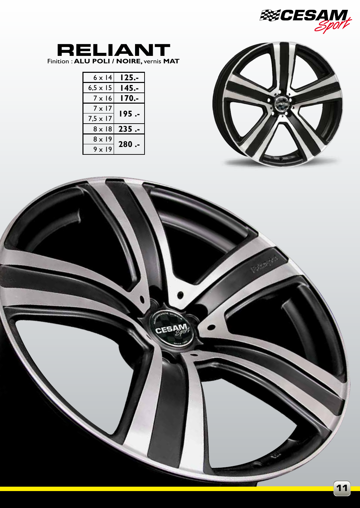



## **RELIANT** Finition : **ALU POLI / NOIRE,** vernis **MAT**

| $6 \times 14$   | $125. -$ |  |  |
|-----------------|----------|--|--|
| 6,5 $\times$ 15 | I 45.-   |  |  |
| $7 \times 16$   | 170.-    |  |  |
| $7 \times 17$   | 195 .-   |  |  |
| $7.5 \times 17$ |          |  |  |
| $8 \times 18$   | 235.     |  |  |
| $8 \times 19$   |          |  |  |
| $9 \times 19$   | $280 -$  |  |  |